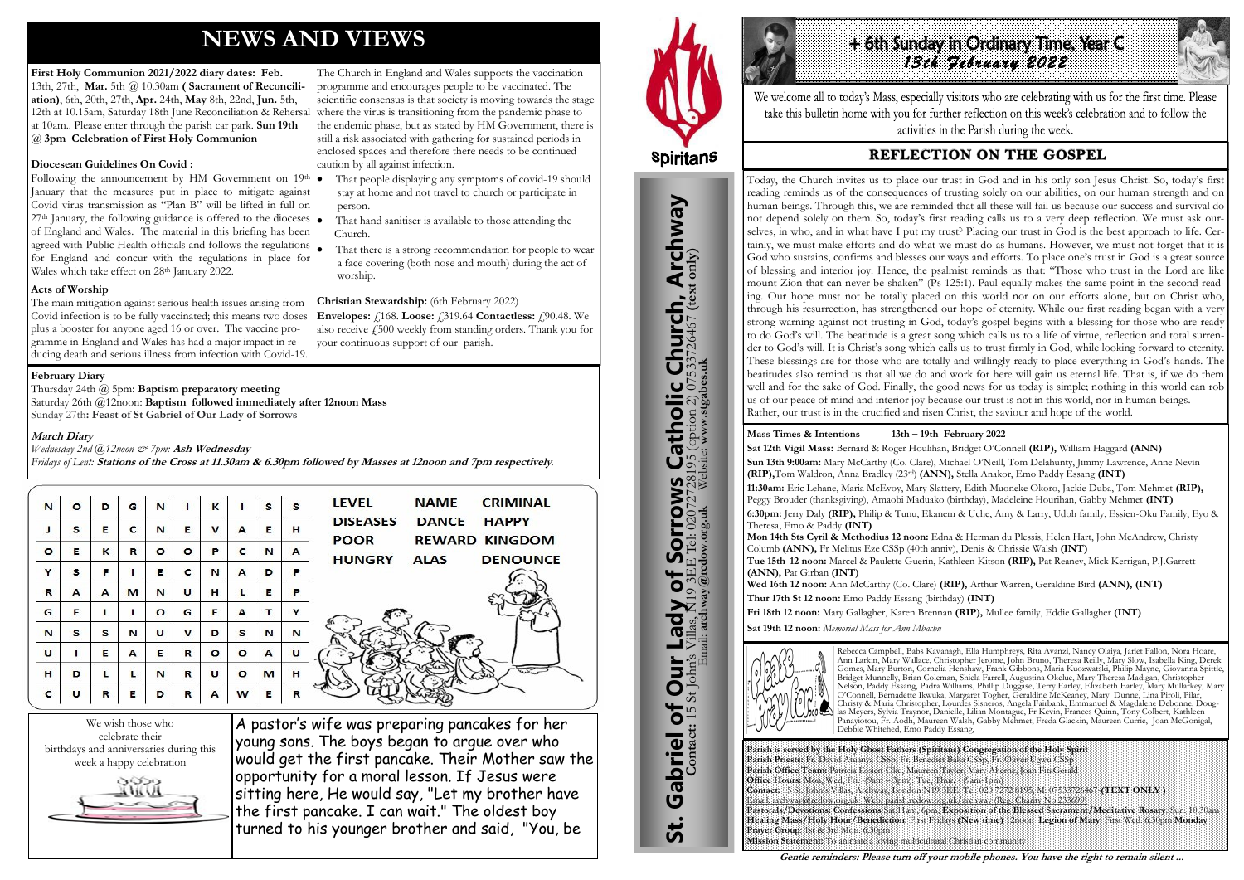# **NEWS AND VIEWS**

**First Holy Communion 2021/2022 diary dates: Feb.**  13th, 27th, **Mar.** 5th @ 10.30am **( Sacrament of Reconciliation)**, 6th, 20th, 27th, **Apr.** 24th, **May** 8th, 22nd, **Jun.** 5th, 12th at 10.15am, Saturday 18th June Reconciliation & Rehersal where the virus is transitioning from the pandemic phase to at 10am.. Please enter through the parish car park. **Sun 19th**  @ **3pm Celebration of First Holy Communion**

## **Diocesean Guidelines On Covid :**

Following the announcement by HM Government on  $19<sup>th</sup>$   $\bullet$ January that the measures put in place to mitigate against Covid virus transmission as "Plan B" will be lifted in full on  $27<sup>th</sup>$  January, the following guidance is offered to the dioceses  $\bullet$ of England and Wales. The material in this briefing has been agreed with Public Health officials and follows the regulations for England and concur with the regulations in place for Wales which take effect on 28<sup>th</sup> January 2022.

**Acts of Worship** 

The main mitigation against serious health issues arising from Covid infection is to be fully vaccinated; this means two doses plus a booster for anyone aged 16 or over. The vaccine programme in England and Wales has had a major impact in reducing death and serious illness from infection with Covid-19.

The Church in England and Wales supports the vaccination programme and encourages people to be vaccinated. The scientific consensus is that society is moving towards the stage the endemic phase, but as stated by HM Government, there is still a risk associated with gathering for sustained periods in enclosed spaces and therefore there needs to be continued caution by all against infection.

- That people displaying any symptoms of covid-19 should stay at home and not travel to church or participate in person.
- That hand sanitiser is available to those attending the Church.
- That there is a strong recommendation for people to wear a face covering (both nose and mouth) during the act of worship.

## **Christian Stewardship:** (6th February 2022)

**Envelopes:** £168. **Loose:** £319.64 **Contactless:** £90.48. We also receive  $\epsilon$  500 weekly from standing orders. Thank you for your continuous support of our parish.

We wish those who celebrate their birthdays and anniversaries during this week a happy celebration



A pastor's wife was preparing pancakes for her young sons. The boys began to argue over who would get the first pancake. Their Mother saw the opportunity for a moral lesson. If Jesus were sitting here, He would say, "Let my brother have the first pancake. I can wait." The oldest boy turned to his younger brother and said, "You, be



St. Gabriel of Our Lady of Sorrows Catholic Church, Archway

**Sorrows**<br>E Tel: 020727281

Gabriel of Our Lady of Sorrov

<u>ჭ</u>

**S Catholic Church, Archway**<br>28195 (option 2) 07533726467 (text only)

#### **February Diary**

Thursday 24th @ 5pm**: Baptism preparatory meeting**  Saturday 26th @12noon: **Baptism followed immediately after 12noon Mass** Sunday 27th**: Feast of St Gabriel of Our Lady of Sorrows**

#### **March Diary**

*Wednesday 2nd @12noon & 7pm:* **Ash Wednesday**

*Fridays of Lent:* **Stations of the Cross at 11.30am & 6.30pm followed by Masses at 12noon and 7pm respectively***.*

| N            | $\circ$ | D | G | N       |         | $\mathbf k$ |         | s | s | <b>LEVEL</b><br><b>CRIMINAL</b><br><b>NAME</b>  |
|--------------|---------|---|---|---------|---------|-------------|---------|---|---|-------------------------------------------------|
| J            | s       | Е | c | N       | E       | $\mathbf v$ | A       | Е | н | <b>DISEASES</b><br><b>DANCE</b><br><b>HAPPY</b> |
| $\circ$      | Е       | к | R | $\circ$ | $\circ$ | P           | c       | N | A | <b>REWARD KINGDOM</b><br><b>POOR</b>            |
| Y            | s       | F |   | E       | c       | N           | A       | D | P | <b>HUNGRY</b><br><b>DENOUNCE</b><br><b>ALAS</b> |
| $\mathbf R$  | A       | A | M | N       | U       | н           | L       | Е | P |                                                 |
| G            | Е       | L |   | $\circ$ | G       | E           | A       |   | Y |                                                 |
| N            | s       | s | N | U       | v       | D           | s       | N | N |                                                 |
| U            | ٠       | Е | A | Е       | R       | $\circ$     | $\circ$ | A | u |                                                 |
| H            | D       | L | L | N       | R       | U           | $\circ$ | M | н |                                                 |
| $\mathbf{C}$ | U       | R | Е | D       | R       | A           | W       | Е | R |                                                 |

**Parish is served by the Holy Ghost Fathers (Spiritans) Congregation of the Holy Spirit Parish Priests:** Fr. David Atuanya CSSp, Fr. Benedict Baka CSSp, Fr. Oliver Ugwu CSSp **Parish Office Team:** Patricia Essien-Oku, Maureen Tayler, Mary Aherne, Joan FitzGerald **Office Hours:** Mon, Wed, Fri. -(9am – 3pm). Tue, Thur. - (9am-1pm) **Contact:** 15 St. John's Villas, Archway, London N19 3EE. Tel: 020 7272 8195, M: 07533726467-**(TEXT ONLY )** Email: archway@rcdow.org.uk Web: parish.rcdow.org.uk/archway (Reg. Charity No.233699) **Pastorals/Devotions: Confessions** Sat.11am, 6pm, **Exposition of the Blessed Sacrament/Meditative Rosary**: Sun. 10.30am **Healing Mass/Holy Hour/Benediction:** First Fridays **(New time)** 12noon **Legion of Mary**: First Wed. 6.30pm **Monday Prayer Group**: 1st & 3rd Mon. 6.30pm **Mission Statement:** To animate a loving multicultural Christian community

**Contact:** 15 St John's Villas, N19 3EE Tel: 02072728195 (option 2) 07533726467 **(text only)** Email: **archway@rcdow.org.uk** Website**: www.stgabes.uk**



We welcome all to today's Mass, especially visitors who are celebrating with us for the first time. Please take this bulletin home with you for further reflection on this week's celebration and to follow the activities in the Parish during the week.

# **REFLECTION ON THE GOSPEL**

**Mass Times & Intentions 13th – 19th February 2022 Sat 12th Vigil Mass:** Bernard & Roger Houlihan, Bridget O'Connell **(RIP),** William Haggard **(ANN) Sun 13th 9:00am:** Mary McCarthy (Co. Clare), Michael O'Neill, Tom Delahunty, Jimmy Lawrence, Anne Nevin **(RIP),**Tom Waldron, Anna Bradley (23rd) **(ANN),** Stella Anakor, Emo Paddy Essang **(INT) 11:30am:** Eric Lehane, Maria McEvoy, Mary Slattery, Edith Muoneke Okoro, Jackie Duba, Tom Mehmet **(RIP),**  Peggy Brouder (thanksgiving), Amaobi Maduako (birthday), Madeleine Hourihan, Gabby Mehmet **(INT) 6:30pm:** Jerry Daly **(RIP),** Philip & Tunu, Ekanem & Uche, Amy & Larry, Udoh family, Essien-Oku Family, Eyo & Theresa, Emo & Paddy **(INT)**

**Mon 14th Sts Cyril & Methodius 12 noon:** Edna & Herman du Plessis, Helen Hart, John McAndrew, Christy Columb **(ANN),** Fr Melitus Eze CSSp (40th anniv), Denis & Chrissie Walsh **(INT) Tue 15th 12 noon:** Marcel & Paulette Guerin, Kathleen Kitson **(RIP),** Pat Reaney, Mick Kerrigan, P.J.Garrett **(ANN),** Pat Girban **(INT)**

**Wed 16th 12 noon:** Ann McCarthy (Co. Clare) **(RIP),** Arthur Warren, Geraldine Bird **(ANN), (INT) Thur 17th St 12 noon:** Emo Paddy Essang (birthday) **(INT) Fri 18th 12 noon:** Mary Gallagher, Karen Brennan **(RIP),** Mullee family, Eddie Gallagher **(INT)**

**Sat 19th 12 noon:** *Memorial Mass for Ann Mbachu*



Rebecca Campbell, Babs Kavanagh, Ella Humphreys, Rita Avanzi, Nancy Olaiya, Jarlet Fallon, Nora Hoare, Ann Larkin, Mary Wallace, Christopher Jerome, John Bruno, Theresa Reilly, Mary Slow, Isabella King, Derek Gomes, Mary Burton, Cornelia Henshaw, Frank Gibbons, Maria Kuozwatski, Philip Mayne, Giovanna Spittle, Bridget Munnelly, Brian Coleman, Shiela Farrell, Augustina Okelue, Mary Theresa Madigan, Christopher Nelson, Paddy Essang, Padra Williams, Phillip Duggase, Terry Earley, Elizabeth Earley, Mary Mullarkey, Mary O'Connell, Bernadette Ikwuka, Margaret Togher, Geraldine McKeaney, Mary Dunne, Lina Piroli, Pilar, Christy & Maria Christopher, Lourdes Sisneros, Angela Fairbank, Emmanuel & Magdalene Debonne, Douglas Meyers, Sylvia Traynor, Danielle, Lilian Montague, Fr Kevin, Frances Quinn, Tony Colbert, Kathleen Panayiotou, Fr. Aodh, Maureen Walsh, Gabby Mehmet, Freda Glackin, Maureen Currie, Joan McGonigal, Debbie Whitehed, Emo Paddy Essang,

**Gentle reminders: Please turn off your mobile phones. You have the right to remain silent ...** 

**14 6th Sunday In Ordinary Time, Year C.**<br>13th *Jelenary 2022* 

Today, the Church invites us to place our trust in God and in his only son Jesus Christ. So, today's first reading reminds us of the consequences of trusting solely on our abilities, on our human strength and on human beings. Through this, we are reminded that all these will fail us because our success and survival do not depend solely on them. So, today's first reading calls us to a very deep reflection. We must ask ourselves, in who, and in what have I put my trust? Placing our trust in God is the best approach to life. Certainly, we must make efforts and do what we must do as humans. However, we must not forget that it is God who sustains, confirms and blesses our ways and efforts. To place one's trust in God is a great source of blessing and interior joy. Hence, the psalmist reminds us that: "Those who trust in the Lord are like mount Zion that can never be shaken" (Ps 125:1). Paul equally makes the same point in the second reading. Our hope must not be totally placed on this world nor on our efforts alone, but on Christ who, through his resurrection, has strengthened our hope of eternity. While our first reading began with a very strong warning against not trusting in God, today's gospel begins with a blessing for those who are ready to do God's will. The beatitude is a great song which calls us to a life of virtue, reflection and total surrender to God's will. It is Christ's song which calls us to trust firmly in God, while looking forward to eternity. These blessings are for those who are totally and willingly ready to place everything in God's hands. The beatitudes also remind us that all we do and work for here will gain us eternal life. That is, if we do them well and for the sake of God. Finally, the good news for us today is simple; nothing in this world can rob us of our peace of mind and interior joy because our trust is not in this world, nor in human beings. Rather, our trust is in the crucified and risen Christ, the saviour and hope of the world.